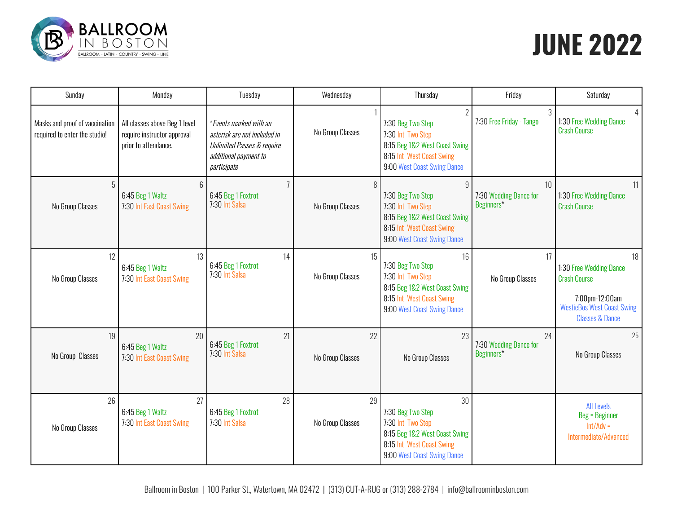

# **JUNE 2022**

| Sunday                                                          | Monday                                                                               | Tuesday                                                                                                                                 | Wednesday              | Thursday                                                                                                                                        | Friday                                     | Saturday                                                                                                                                  |
|-----------------------------------------------------------------|--------------------------------------------------------------------------------------|-----------------------------------------------------------------------------------------------------------------------------------------|------------------------|-------------------------------------------------------------------------------------------------------------------------------------------------|--------------------------------------------|-------------------------------------------------------------------------------------------------------------------------------------------|
| Masks and proof of vaccination<br>required to enter the studio! | All classes above Beg 1 level<br>require instructor approval<br>prior to attendance. | *Events marked with an<br>asterisk are not included in<br><b>Unlimited Passes &amp; require</b><br>additional payment to<br>participate | No Group Classes       | $\gamma$<br>7:30 Beg Two Step<br>7:30 Int Two Step<br>8:15 Beg 1&2 West Coast Swing<br>8:15 Int West Coast Swing<br>9:00 West Coast Swing Dance | 3<br>7:30 Free Friday - Tango              | 4<br>1:30 Free Wedding Dance<br><b>Crash Course</b>                                                                                       |
| 5<br>No Group Classes                                           | ĥ<br>6:45 Beg 1 Waltz<br>7:30 Int East Coast Swing                                   | 6:45 Beg 1 Foxtrot<br>7:30 Int Salsa                                                                                                    | 8<br>No Group Classes  | 9<br>7:30 Beg Two Step<br>7:30 Int Two Step<br>8:15 Beg 1&2 West Coast Swing<br>8:15 Int West Coast Swing<br>9:00 West Coast Swing Dance        | 10<br>7:30 Wedding Dance for<br>Beginners* | 11<br>1:30 Free Wedding Dance<br><b>Crash Course</b>                                                                                      |
| 12 <sup>°</sup><br>No Group Classes                             | 13<br>6:45 Beg 1 Waltz<br>7:30 Int East Coast Swing                                  | 14<br>6:45 Beg 1 Foxtrot<br>7:30 Int Salsa                                                                                              | 15<br>No Group Classes | 16<br>7:30 Beg Two Step<br>7:30 Int Two Step<br>8:15 Beg 1&2 West Coast Swing<br>8:15 Int West Coast Swing<br>9:00 West Coast Swing Dance       | 17<br>No Group Classes                     | 18<br>1:30 Free Wedding Dance<br><b>Crash Course</b><br>7:00pm-12:00am<br><b>WestieBos West Coast Swing</b><br><b>Classes &amp; Dance</b> |
| 19<br>No Group Classes                                          | 20<br>6:45 Beg 1 Waltz<br>7:30 Int East Coast Swing                                  | 21<br>6:45 Beg 1 Foxtrot<br>7:30 Int Salsa                                                                                              | 22<br>No Group Classes | 23<br>No Group Classes                                                                                                                          | 24<br>7:30 Wedding Dance for<br>Beginners* | 25<br>No Group Classes                                                                                                                    |
| 26<br>No Group Classes                                          | 27<br>6:45 Beg 1 Waltz<br>7:30 Int East Coast Swing                                  | 28<br>6:45 Beg 1 Foxtrot<br>7:30 Int Salsa                                                                                              | 29<br>No Group Classes | 30<br>7:30 Beg Two Step<br>7:30 Int Two Step<br>8:15 Beg 1&2 West Coast Swing<br>8:15 Int West Coast Swing<br>9:00 West Coast Swing Dance       |                                            | <b>All Levels</b><br><b>Beg = Beginner</b><br>$Int/Adv =$<br>Intermediate/Advanced                                                        |